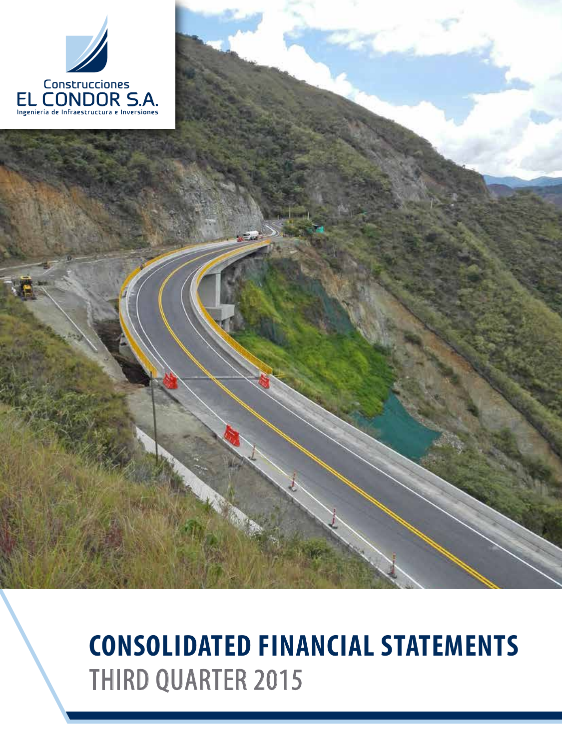

# **CONSOLIDATED FINANCIAL STATEMENTS** THIRD QUARTER 2015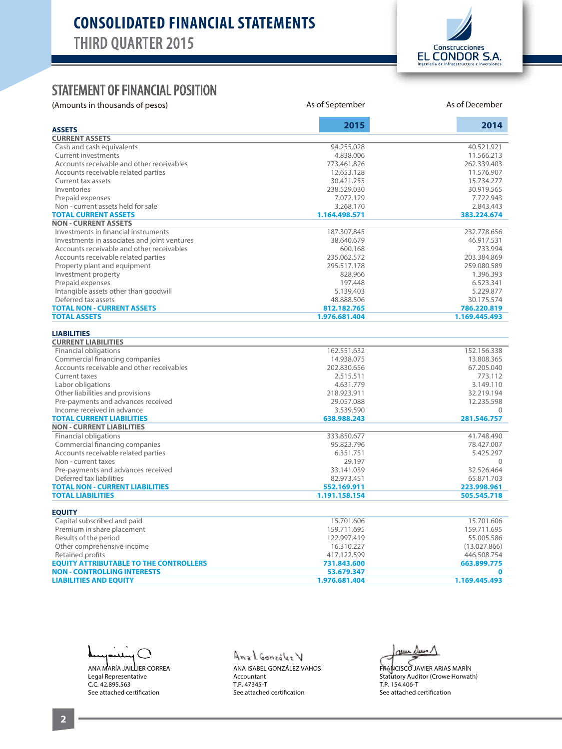

#### STATEMENT OF FINANCIAL POSITION

(Amounts in thousands of pesos) and As of September As of September As of December As of December

|                                               | 2015          | 2014          |  |  |
|-----------------------------------------------|---------------|---------------|--|--|
| <b>ASSETS</b>                                 |               |               |  |  |
| <b>CURRENT ASSETS</b>                         |               |               |  |  |
| Cash and cash equivalents                     | 94.255.028    | 40.521.921    |  |  |
| <b>Current investments</b>                    | 4.838.006     | 11.566.213    |  |  |
| Accounts receivable and other receivables     | 773.461.826   | 262.339.403   |  |  |
| Accounts receivable related parties           | 12.653.128    | 11.576.907    |  |  |
| Current tax assets                            | 30.421.255    | 15.734.277    |  |  |
| Inventories                                   | 238.529.030   | 30.919.565    |  |  |
| Prepaid expenses                              | 7.072.129     | 7.722.943     |  |  |
| Non - current assets held for sale            | 3.268.170     | 2.843.443     |  |  |
| <b>TOTAL CURRENT ASSETS</b>                   | 1.164.498.571 | 383.224.674   |  |  |
| <b>NON - CURRENT ASSETS</b>                   |               |               |  |  |
| Investments in financial instruments          | 187.307.845   | 232.778.656   |  |  |
| Investments in associates and joint ventures  | 38.640.679    | 46.917.531    |  |  |
| Accounts receivable and other receivables     | 600.168       | 733.994       |  |  |
| Accounts receivable related parties           | 235.062.572   | 203.384.869   |  |  |
| Property plant and equipment                  | 295.517.178   | 259.080.589   |  |  |
| Investment property                           | 828.966       | 1.396.393     |  |  |
| Prepaid expenses                              | 197.448       | 6.523.341     |  |  |
| Intangible assets other than goodwill         | 5.139.403     | 5.229.877     |  |  |
| Deferred tax assets                           | 48.888.506    | 30.175.574    |  |  |
| <b>TOTAL NON - CURRENT ASSETS</b>             | 812.182.765   | 786.220.819   |  |  |
| <b>TOTAL ASSETS</b>                           | 1.976.681.404 | 1.169.445.493 |  |  |
|                                               |               |               |  |  |
| <b>LIABILITIES</b>                            |               |               |  |  |
| <b>CURRENT LIABILITIES</b>                    |               |               |  |  |
| <b>Financial obligations</b>                  | 162.551.632   | 152.156.338   |  |  |
| Commercial financing companies                | 14.938.075    | 13.808.365    |  |  |
| Accounts receivable and other receivables     | 202.830.656   | 67.205.040    |  |  |
| <b>Current taxes</b>                          | 2.515.511     | 773.112       |  |  |
| Labor obligations                             | 4.631.779     | 3.149.110     |  |  |
| Other liabilities and provisions              | 218.923.911   | 32.219.194    |  |  |
| Pre-payments and advances received            | 29.057.088    | 12.235.598    |  |  |
| Income received in advance                    | 3.539.590     | $\Omega$      |  |  |
| <b>TOTAL CURRENT LIABILITIES</b>              | 638.988.243   | 281.546.757   |  |  |
| <b>NON - CURRENT LIABILITIES</b>              |               |               |  |  |
| Financial obligations                         | 333.850.677   | 41.748.490    |  |  |
| Commercial financing companies                | 95.823.796    | 78.427.007    |  |  |
| Accounts receivable related parties           | 6.351.751     | 5.425.297     |  |  |
| Non - current taxes                           | 29.197        | $\Omega$      |  |  |
| Pre-payments and advances received            | 33.141.039    | 32.526.464    |  |  |
| Deferred tax liabilities                      | 82.973.451    | 65.871.703    |  |  |
| <b>TOTAL NON - CURRENT LIABILITIES</b>        | 552.169.911   | 223.998.961   |  |  |
| <b>TOTAL LIABILITIES</b>                      | 1.191.158.154 | 505.545.718   |  |  |
| <b>EQUITY</b>                                 |               |               |  |  |
| Capital subscribed and paid                   | 15.701.606    | 15.701.606    |  |  |
| Premium in share placement                    | 159.711.695   | 159.711.695   |  |  |
| Results of the period                         | 122.997.419   | 55.005.586    |  |  |
| Other comprehensive income                    | 16.310.227    | (13.027.866)  |  |  |
| Retained profits                              | 417.122.599   | 446.508.754   |  |  |
| <b>EQUITY ATTRIBUTABLE TO THE CONTROLLERS</b> | 731.843.600   | 663.899.775   |  |  |
| <b>NON - CONTROLLING INTERESTS</b>            | 53.679.347    | 0             |  |  |
| <b>LIABILITIES AND EQUITY</b>                 | 1.976.681.404 | 1.169.445.493 |  |  |
|                                               |               |               |  |  |

╲

ANA MARÍA JAILLIER CORREA Legal Representative C.C. 42.895.563 See attached certification

## $Annal.$  Consalez  $V$

ANA ISABEL GONZÁLEZ VAHOS Accountant T.P. 47345-T See attached certification

auer Duen 1

FRANCISCO JAVIER ARIAS MARÍN Statutory Auditor (Crowe Horwath) T.P. 154.406-T See attached certification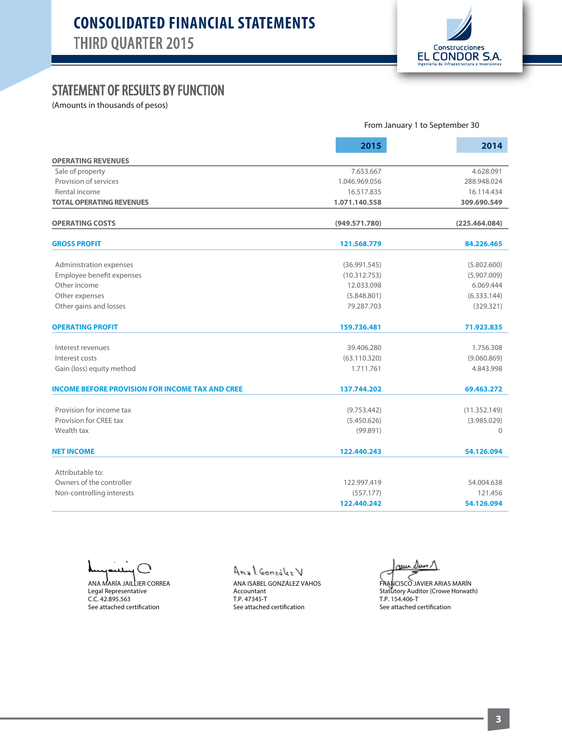

### STATEMENT OF RESULTS BY FUNCTION

(Amounts in thousands of pesos)

|                                                        | From January 1 to September 30 |                           |  |
|--------------------------------------------------------|--------------------------------|---------------------------|--|
|                                                        | 2015                           | 2014                      |  |
| <b>OPERATING REVENUES</b>                              |                                |                           |  |
| Sale of property                                       | 7.653.667                      | 4.628.091                 |  |
| Provision of services                                  | 1.046.969.056                  | 288.948.024               |  |
| Rental income                                          | 16.517.835                     | 16.114.434<br>309.690.549 |  |
| <b>TOTAL OPERATING REVENUES</b>                        | 1.071.140.558                  |                           |  |
| <b>OPERATING COSTS</b>                                 | (949.571.780)                  | (225.464.084)             |  |
| <b>GROSS PROFIT</b>                                    | 121.568.779                    | 84.226.465                |  |
| Administration expenses                                | (36.991.545)                   | (5.802.600)               |  |
| Employee benefit expenses                              | (10.312.753)                   | (5.907.009)               |  |
| Other income                                           | 12.033.098                     | 6.069.444                 |  |
| Other expenses                                         | (5.848.801)                    | (6.333.144)               |  |
| Other gains and losses                                 | 79.287.703                     | (329.321)                 |  |
| <b>OPERATING PROFIT</b>                                | 159.736.481                    | 71.923.835                |  |
| Interest revenues                                      | 39.406.280                     | 1.756.308                 |  |
| Interest costs                                         | (63.110.320)                   | (9.060.869)               |  |
| Gain (loss) equity method                              | 1.711.761                      | 4.843.998                 |  |
| <b>INCOME BEFORE PROVISION FOR INCOME TAX AND CREE</b> | 137.744.202                    | 69.463.272                |  |
| Provision for income tax                               | (9.753.442)                    | (11.352.149)              |  |
| Provision for CREE tax                                 | (5.450.626)                    | (3.985.029)               |  |
| Wealth tax                                             | (99.891)                       | $\Omega$                  |  |
| <b>NET INCOME</b>                                      | 122.440.243                    | 54.126.094                |  |
| Attributable to:                                       |                                |                           |  |
| Owners of the controller                               | 122.997.419                    | 54.004.638                |  |
| Non-controlling interests                              | (557.177)                      | 121.456                   |  |
|                                                        | 122.440.242                    | 54.126.094                |  |

ANA MARÍA JAILLIER CORREA Legal Representative C.C. 42.895.563 See attached certification

Anal González V

ANA ISABEL GONZÁLEZ VAHOS Accountant T.P. 47345-T See attached certification

ىسى

FRANCISCO JAVIER ARIAS MARÍN Statutory Auditor (Crowe Horwath) T.P. 154.406-T See attached certification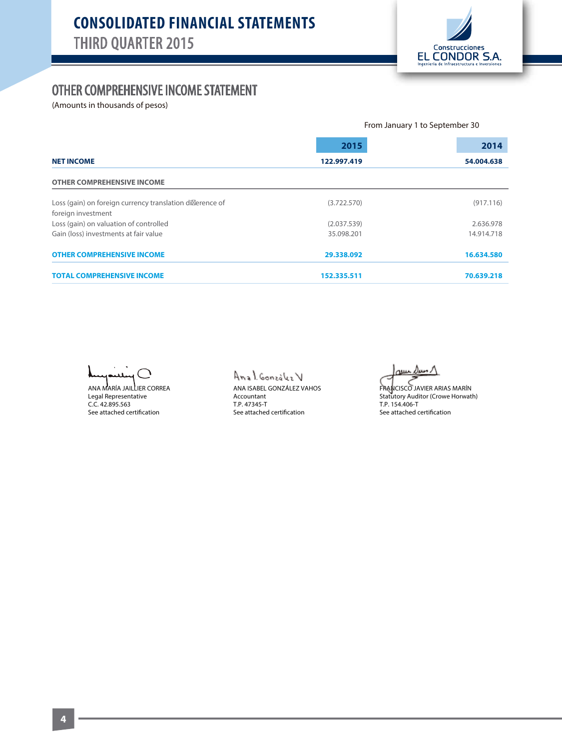

#### OTHER COMPREHENSIVE INCOME STATEMENT

(Amounts in thousands of pesos)

|                                                                                | From January 1 to September 30 |            |  |  |
|--------------------------------------------------------------------------------|--------------------------------|------------|--|--|
|                                                                                | 2015                           | 2014       |  |  |
| <b>NET INCOME</b>                                                              | 122.997.419                    | 54.004.638 |  |  |
| <b>OTHER COMPREHENSIVE INCOME</b>                                              |                                |            |  |  |
| Loss (gain) on foreign currency translation di erence of<br>foreign investment | (3.722.570)                    | (917.116)  |  |  |
| Loss (gain) on valuation of controlled                                         | (2.037.539)                    | 2.636.978  |  |  |
| Gain (loss) investments at fair value                                          | 35.098.201                     | 14.914.718 |  |  |
| <b>OTHER COMPREHENSIVE INCOME</b>                                              | 29.338.092                     | 16.634.580 |  |  |
| <b>TOTAL COMPREHENSIVE INCOME</b>                                              | 152.335.511                    | 70.639.218 |  |  |

╮

ANA MARÍA JAILLIER CORREA Legal Representative C.C. 42.895.563 See attached certification

#### Anal González V

ANA ISABEL GONZÁLEZ VAHOS Accountant T.P. 47345-T See attached certification

au Dun

FRANCISCO JAVIER ARIAS MARÍN Statutory Auditor (Crowe Horwath) T.P. 154.406-T See attached certification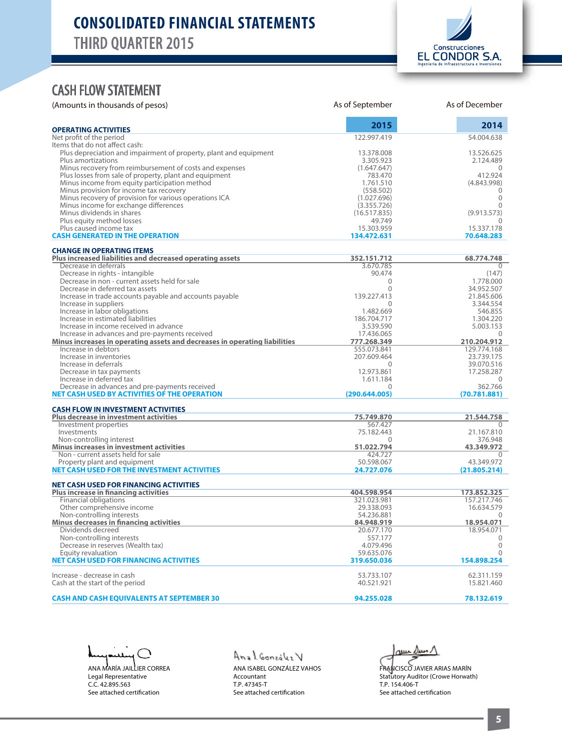

#### CASH FLOW STATEMENT

| (Amounts in thousands of pesos)                                                                                   | As of September            | As of December             |
|-------------------------------------------------------------------------------------------------------------------|----------------------------|----------------------------|
| <b>OPERATING ACTIVITIES</b>                                                                                       | 2015                       | 2014                       |
| Net profit of the period                                                                                          | 122.997.419                | 54.004.638                 |
| Items that do not affect cash:                                                                                    |                            |                            |
| Plus depreciation and impairment of property, plant and equipment                                                 | 13.378.008                 | 13.526.625                 |
| Plus amortizations                                                                                                | 3.305.923                  | 2.124.489                  |
| Minus recovery from reimbursement of costs and expenses<br>Plus losses from sale of property, plant and equipment | (1.647.647)<br>783.470     | $\Omega$<br>412.924        |
| Minus income from equity participation method                                                                     | 1.761.510                  | (4.843.998)                |
| Minus provision for income tax recovery                                                                           | (558.502)                  | 0                          |
| Minus recovery of provision for various operations ICA                                                            | (1.027.696)                | $\Omega$                   |
| Minus income for exchange differences                                                                             | (3.355.726)                | $\Omega$                   |
| Minus dividends in shares                                                                                         | (16.517.835)               | (9.913.573)                |
| Plus equity method losses                                                                                         | 49.749                     |                            |
| Plus caused income tax                                                                                            | 15.303.959                 | 15.337.178                 |
| <b>CASH GENERATED IN THE OPERATION</b>                                                                            | 134.472.631                | 70.648.283                 |
| <b>CHANGE IN OPERATING ITEMS</b>                                                                                  |                            |                            |
| Plus increased liabilities and decreased operating assets                                                         | 352.151.712                | 68.774.748                 |
| Decrease in deferrals                                                                                             | 3.670.785                  | 0                          |
| Decrease in rights - intangible                                                                                   | 90.474                     | (147)                      |
| Decrease in non - current assets held for sale                                                                    | $\Omega$                   | 1.778.000                  |
| Decrease in deferred tax assets                                                                                   | $\Omega$                   | 34.952.507                 |
| Increase in trade accounts payable and accounts payable                                                           | 139.227.413                | 21.845.606                 |
| Increase in suppliers                                                                                             | $\Omega$                   | 3.344.554                  |
| Increase in labor obligations<br>Increase in estimated liabilities                                                | 1.482.669                  | 546.855                    |
| Increase in income received in advance                                                                            | 186.704.717<br>3.539.590   | 1.304.220<br>5.003.153     |
| Increase in advances and pre-payments received                                                                    | 17.436.065                 | $\theta$                   |
| Minus increases in operating assets and decreases in operating liabilities                                        | 777.268.349                | 210.204.912                |
| Increase in debtors                                                                                               | 555.073.841                | 129.774.168                |
| Increase in inventories                                                                                           | 207.609.464                | 23.739.175                 |
| Increase in deferrals                                                                                             | $\Omega$                   | 39.070.516                 |
| Decrease in tax payments                                                                                          | 12.973.861                 | 17.258.287                 |
| Increase in deferred tax                                                                                          | 1.611.184                  | $\Omega$                   |
| Decrease in advances and pre-payments received                                                                    | $\Omega$                   | 362.766                    |
| <b>NET CASH USED BY ACTIVITIES OF THE OPERATION</b>                                                               | (290.644.005)              | (70.781.881)               |
| <b>CASH FLOW IN INVESTMENT ACTIVITIES</b>                                                                         |                            |                            |
| <b>Plus decrease in investment activities</b>                                                                     | 75.749.870                 | 21.544.758                 |
| Investment properties                                                                                             | 567.427                    | 0                          |
| Investments                                                                                                       | 75.182.443                 | 21.167.810                 |
| Non-controlling interest                                                                                          | $\Omega$<br>51.022.794     | 376.948                    |
| <b>Minus increases in investment activities</b><br>Non - current assets held for sale                             | 424.727                    | 43.349.972                 |
| Property plant and equipment                                                                                      | 50.598.067                 | 43.349.972                 |
| NET CASH USED FOR THE INVESTMENT ACTIVITIES                                                                       | 24.727.076                 | (21.805.214)               |
|                                                                                                                   |                            |                            |
| <b>NET CASH USED FOR FINANCING ACTIVITIES</b>                                                                     |                            |                            |
| <b>Plus increase in financing activities</b><br><b>Financial obligations</b>                                      | 404.598.954<br>321.023.981 | 173.852.325<br>157.217.746 |
| Other comprehensive income                                                                                        | 29.338.093                 | 16.634.579                 |
| Non-controlling interests                                                                                         | 54.236.881                 | $\Omega$                   |
| <b>Minus decreases in financing activities</b>                                                                    | 84.948.919                 | 18.954.071                 |
| Dividends decreed                                                                                                 | 20.677.170                 | 18.954.071                 |
| Non-controlling interests                                                                                         | 557.177                    | 0                          |
| Decrease in reserves (Wealth tax)                                                                                 | 4.079.496                  | $\Omega$                   |
| Equity revaluation                                                                                                | 59.635.076                 | $\Omega$                   |
| <b>NET CASH USED FOR FINANCING ACTIVITIES</b>                                                                     | 319.650.036                | 154.898.254                |
| Increase - decrease in cash                                                                                       |                            | 62.311.159                 |
| Cash at the start of the period                                                                                   | 53.733.107<br>40.521.921   | 15.821.460                 |
|                                                                                                                   |                            |                            |
| <b>CASH AND CASH EQUIVALENTS AT SEPTEMBER 30</b>                                                                  | 94.255.028                 | 78.132.619                 |

 $\bigcap$ ANA MARÍA JAILLIER CORREA Legal Representative C.C. 42.895.563 See attached certification

Anal González V ANA ISABEL GONZÁLEZ VAHOS

Accountant T.P. 47345-T See attached certification

 $\omega$ uu  $\Delta$ uun  $\Lambda$ 

FRANCISCO JAVIER ARIAS MARÍN Statutory Auditor (Crowe Horwath) T.P. 154.406-T See attached certification